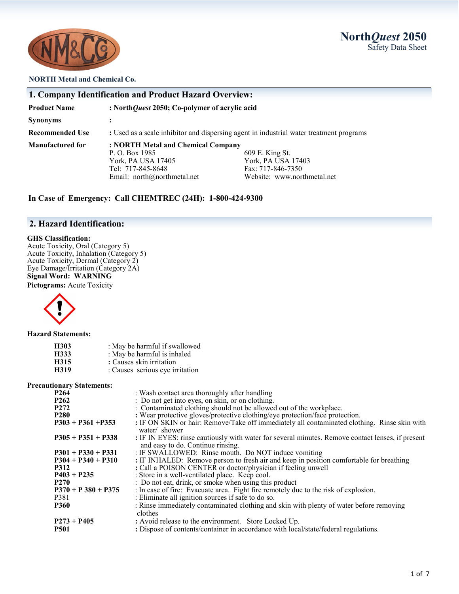**North***Quest* **2050** Safety Data Sheet



#### **NORTH Metal and Chemical Co.**

| 1. Company Identification and Product Hazard Overview: |                                                                                         |                             |  |  |
|--------------------------------------------------------|-----------------------------------------------------------------------------------------|-----------------------------|--|--|
| <b>Product Name</b>                                    | : North Quest 2050; Co-polymer of acrylic acid                                          |                             |  |  |
| <b>Synonyms</b>                                        |                                                                                         |                             |  |  |
| <b>Recommended Use</b>                                 | : Used as a scale inhibitor and dispersing agent in industrial water treatment programs |                             |  |  |
| <b>Manufactured for</b>                                | : NORTH Metal and Chemical Company                                                      |                             |  |  |
|                                                        | P. O. Box 1985                                                                          | 609 E. King St.             |  |  |
|                                                        | York, PA USA 17405                                                                      | York, PA USA 17403          |  |  |
|                                                        | Tel: 717-845-8648                                                                       | Fax: 717-846-7350           |  |  |
|                                                        | Email: north@northmetal.net                                                             | Website: www.northmetal.net |  |  |

**In Case of Emergency: Call CHEMTREC (24H): 1-800-424-9300**

## **2. Hazard Identification:**

#### **GHS Classification:**

Acute Toxicity, Oral (Category 5) Acute Toxicity, Inhalation (Category 5) Acute Toxicity, Dermal (Category 2) Eye Damage/Irritation (Category 2A) **Signal Word: WARNING**

**Pictograms:** Acute Toxicity



**Hazard Statements:**

| H303 | : May be harmful if swallowed   |
|------|---------------------------------|
| H333 | : May be harmful is inhaled     |
| H315 | : Causes skin irritation        |
| H319 | : Causes serious eye irritation |

#### **Precautionary Statements:**

| Additional y Diacoments. |                                                                                                                                       |
|--------------------------|---------------------------------------------------------------------------------------------------------------------------------------|
| P <sub>264</sub>         | : Wash contact area thoroughly after handling                                                                                         |
| P <sub>262</sub>         | : Do not get into eyes, on skin, or on clothing.                                                                                      |
| P <sub>272</sub>         | : Contaminated clothing should not be allowed out of the workplace.                                                                   |
| <b>P280</b>              | : Wear protective gloves/protective clothing/eye protection/face protection.                                                          |
| $P303 + P361 + P353$     | : IF ON SKIN or hair: Remove/Take off immediately all contaminated clothing. Rinse skin with<br>water/ shower                         |
| $P305 + P351 + P338$     | : IF IN EYES: rinse cautiously with water for several minutes. Remove contact lenses, if present<br>and easy to do. Continue rinsing. |
| $P301 + P330 + P331$     | : IF SWALLOWED: Rinse mouth. Do NOT induce vomiting                                                                                   |
| $P304 + P340 + P310$     | : IF INHALED: Remove person to fresh air and keep in position comfortable for breathing                                               |
| <b>P312</b>              | : Call a POISON CENTER or doctor/physician if feeling unwell                                                                          |
| $P403 + P235$            | : Store in a well-ventilated place. Keep cool.                                                                                        |
| <b>P270</b>              | : Do not eat, drink, or smoke when using this product                                                                                 |
| $P370 + P380 + P375$     | : In case of fire: Evacuate area. Fight fire remotely due to the risk of explosion.                                                   |
| P381                     | : Eliminate all ignition sources if safe to do so.                                                                                    |
| <b>P360</b>              | : Rinse immediately contaminated clothing and skin with plenty of water before removing<br>clothes                                    |
| $P273 + P405$            | : Avoid release to the environment. Store Locked Up.                                                                                  |
| P501                     | : Dispose of contents/container in accordance with local/state/federal regulations.                                                   |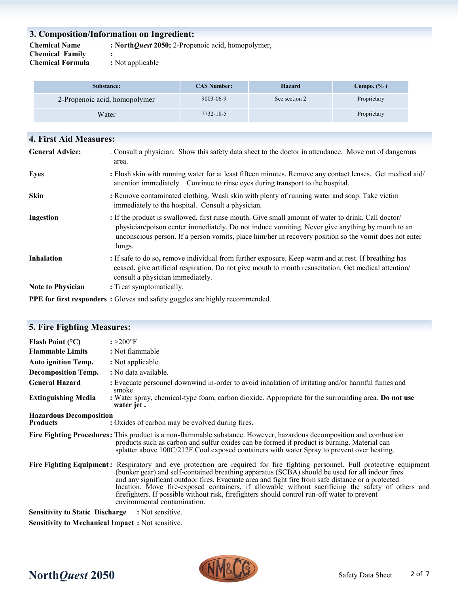## **3. Composition/Information on Ingredient:**

**Chemical Family** :<br> **Chemical Formula** : Not applicable **Chemical Formula** 

**Chemical Name : North***Quest* **2050;** 2-Propenoic acid, homopolymer,

| Substance:                    | <b>CAS Number:</b> | Hazard        | Compo. $(\% )$ |
|-------------------------------|--------------------|---------------|----------------|
| 2-Propenoic acid, homopolymer | 9003-06-9          | See section 2 | Proprietary    |
| Water                         | 7732-18-5          |               | Proprietary    |

| 4. First Aid Measures:   |                                                                                                                                                                                                                                                                                                                            |  |  |
|--------------------------|----------------------------------------------------------------------------------------------------------------------------------------------------------------------------------------------------------------------------------------------------------------------------------------------------------------------------|--|--|
| <b>General Advice:</b>   | : Consult a physician. Show this safety data sheet to the doctor in attendance. Move out of dangerous<br>area.                                                                                                                                                                                                             |  |  |
| <b>Eyes</b>              | : Flush skin with running water for at least fifteen minutes. Remove any contact lenses. Get medical aid/<br>attention immediately. Continue to rinse eyes during transport to the hospital.                                                                                                                               |  |  |
| <b>Skin</b>              | : Remove contaminated clothing. Wash skin with plenty of running water and soap. Take victim<br>immediately to the hospital. Consult a physician.                                                                                                                                                                          |  |  |
| Ingestion                | : If the product is swallowed, first rinse mouth. Give small amount of water to drink. Call doctor/<br>physician/poison center immediately. Do not induce vomiting. Never give anything by mouth to an<br>unconscious person. If a person vomits, place him/her in recovery position so the vomit does not enter<br>lungs. |  |  |
| <b>Inhalation</b>        | : If safe to do so, remove individual from further exposure. Keep warm and at rest. If breathing has<br>ceased, give artificial respiration. Do not give mouth to mouth resuscitation. Get medical attention/<br>consult a physician immediately.                                                                          |  |  |
| <b>Note to Physician</b> | : Treat symptomatically.                                                                                                                                                                                                                                                                                                   |  |  |
|                          | <b>PPE for first responders</b> : Gloves and safety goggles are highly recommended.                                                                                                                                                                                                                                        |  |  |

| <b>5. Fire Fighting Measures:</b>                       |                                                                                                                                                                                                                                                                                                                                                                                                                                                                                                                                                                          |
|---------------------------------------------------------|--------------------------------------------------------------------------------------------------------------------------------------------------------------------------------------------------------------------------------------------------------------------------------------------------------------------------------------------------------------------------------------------------------------------------------------------------------------------------------------------------------------------------------------------------------------------------|
| Flash Point $(^{\circ}C)$                               | $: >200$ °F                                                                                                                                                                                                                                                                                                                                                                                                                                                                                                                                                              |
| <b>Flammable Limits</b>                                 | : Not flammable                                                                                                                                                                                                                                                                                                                                                                                                                                                                                                                                                          |
| <b>Auto ignition Temp.</b>                              | : Not applicable.                                                                                                                                                                                                                                                                                                                                                                                                                                                                                                                                                        |
| <b>Decomposition Temp.</b>                              | : No data available.                                                                                                                                                                                                                                                                                                                                                                                                                                                                                                                                                     |
| <b>General Hazard</b>                                   | : Evacuate personnel downwind in-order to avoid inhalation of irritating and/or harmful fumes and<br>smoke.                                                                                                                                                                                                                                                                                                                                                                                                                                                              |
| <b>Extinguishing Media</b>                              | : Water spray, chemical-type foam, carbon dioxide. Appropriate for the surrounding area. Do not use<br>water jet.                                                                                                                                                                                                                                                                                                                                                                                                                                                        |
| <b>Hazardous Decomposition</b><br><b>Products</b>       | : Oxides of carbon may be evolved during fires.                                                                                                                                                                                                                                                                                                                                                                                                                                                                                                                          |
|                                                         | Fire Fighting Procedures: This product is a non-flammable substance. However, hazardous decomposition and combustion<br>products such as carbon and sulfur oxides can be formed if product is burning. Material can<br>splatter above 100C/212F.Cool exposed containers with water Spray to prevent over heating.                                                                                                                                                                                                                                                        |
|                                                         | Fire Fighting Equipment: Respiratory and eye protection are required for fire fighting personnel. Full protective equipment<br>(bunker gear) and self-contained breathing apparatus (SCBA) should be used for all indoor fires<br>and any significant outdoor fires. Evacuate area and fight fire from safe distance or a protected<br>location. Move fire-exposed containers, if allowable without sacrificing the safety of others and<br>firefighters. If possible without risk, firefighters should control run-off water to prevent<br>environmental contamination. |
| <b>Sensitivity to Static Discharge : Not sensitive.</b> |                                                                                                                                                                                                                                                                                                                                                                                                                                                                                                                                                                          |
| <b>Sensitivity to Mechanical Impact:</b> Not sensitive. |                                                                                                                                                                                                                                                                                                                                                                                                                                                                                                                                                                          |

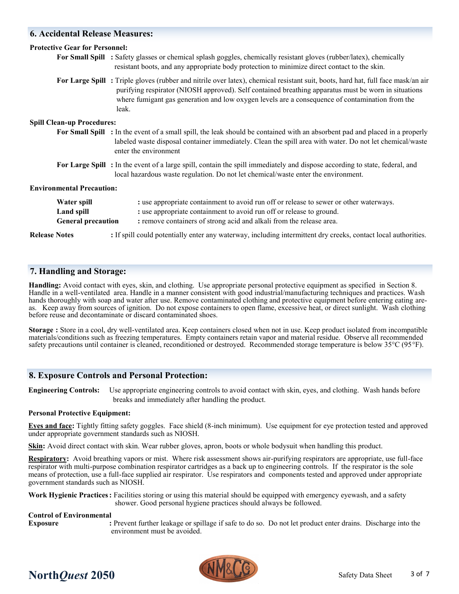## **6. Accidental Release Measures:**

| <b>Protective Gear for Personnel:</b>                         |                                                                                                                                                                                                                                                                                                                                                     |  |
|---------------------------------------------------------------|-----------------------------------------------------------------------------------------------------------------------------------------------------------------------------------------------------------------------------------------------------------------------------------------------------------------------------------------------------|--|
|                                                               | For Small Spill : Safety glasses or chemical splash goggles, chemically resistant gloves (rubber/latex), chemically<br>resistant boots, and any appropriate body protection to minimize direct contact to the skin.                                                                                                                                 |  |
|                                                               | For Large Spill: Triple gloves (rubber and nitrile over latex), chemical resistant suit, boots, hard hat, full face mask/an air<br>purifying respirator (NIOSH approved). Self contained breathing apparatus must be worn in situations<br>where fumigant gas generation and low oxygen levels are a consequence of contamination from the<br>leak. |  |
| <b>Spill Clean-up Procedures:</b>                             |                                                                                                                                                                                                                                                                                                                                                     |  |
|                                                               | For Small Spill : In the event of a small spill, the leak should be contained with an absorbent pad and placed in a properly<br>labeled waste disposal container immediately. Clean the spill area with water. Do not let chemical/waste<br>enter the environment                                                                                   |  |
|                                                               | For Large Spill: In the event of a large spill, contain the spill immediately and dispose according to state, federal, and<br>local hazardous waste regulation. Do not let chemical/waste enter the environment.                                                                                                                                    |  |
| <b>Environmental Precaution:</b>                              |                                                                                                                                                                                                                                                                                                                                                     |  |
| Water spill<br><b>Land spill</b><br><b>General precaution</b> | : use appropriate containment to avoid run off or release to sewer or other waterways.<br>: use appropriate containment to avoid run off or release to ground.<br>: remove containers of strong acid and alkali from the release area.                                                                                                              |  |
| <b>Release Notes</b>                                          | : If spill could potentially enter any waterway, including intermittent dry creeks, contact local authorities.                                                                                                                                                                                                                                      |  |

## **7. Handling and Storage:**

**Handling:** Avoid contact with eyes, skin, and clothing. Use appropriate personal protective equipment as specified in Section 8. Handle in a well-ventilated area. Handle in a manner consistent with good industrial/manufacturing techniques and practices. Wash hands thoroughly with soap and water after use. Remove contaminated clothing and protective equipment before entering eating areas. Keep away from sources of ignition. Do not expose containers to open flame, excessive heat, or direct sunlight. Wash clothing before reuse and decontaminate or discard contaminated shoes.

**Storage :** Store in a cool, dry well-ventilated area. Keep containers closed when not in use. Keep product isolated from incompatible materials/conditions such as freezing temperatures. Empty containers retain vapor and material residue. Observe all recommended safety precautions until container is cleaned, reconditioned or destroyed. Recommended storage temperature is below 35°C (95°F).

### **8. Exposure Controls and Personal Protection:**

**Engineering Controls:** Use appropriate engineering controls to avoid contact with skin, eyes, and clothing. Wash hands before breaks and immediately after handling the product.

#### **Personal Protective Equipment:**

**Eyes and face:** Tightly fitting safety goggles. Face shield (8-inch minimum). Use equipment for eye protection tested and approved under appropriate government standards such as NIOSH.

**Skin:** Avoid direct contact with skin. Wear rubber gloves, apron, boots or whole bodysuit when handling this product.

**Respiratory:** Avoid breathing vapors or mist. Where risk assessment shows air-purifying respirators are appropriate, use full-face respirator with multi-purpose combination respirator cartridges as a back up to engineering controls. If the respirator is the sole means of protection, use a full-face supplied air respirator. Use respirators and components tested and approved under appropriate government standards such as NIOSH.

**Work Hygienic Practices:** Facilities storing or using this material should be equipped with emergency eyewash, and a safety shower. Good personal hygiene practices should always be followed.

#### **Control of Environmental**

**Exposure :** Prevent further leakage or spillage if safe to do so. Do not let product enter drains. Discharge into the environment must be avoided.



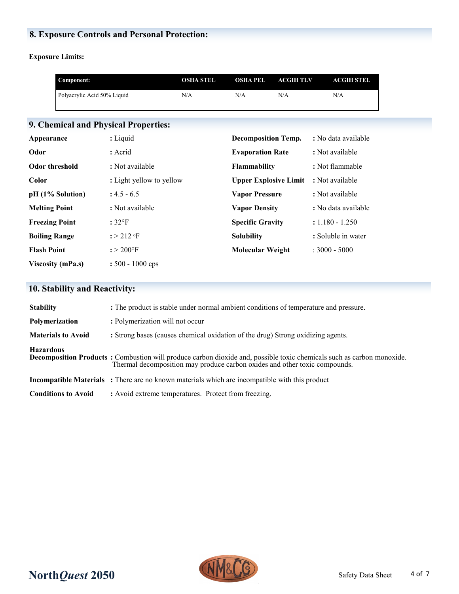# **8. Exposure Controls and Personal Protection:**

**Exposure Limits:**

|                       | Component:                  |                                      | <b>OSHA STEL</b> | <b>OSHA PEL</b>              | <b>ACGIHTLV</b> | <b>ACGIH STEL</b>   |
|-----------------------|-----------------------------|--------------------------------------|------------------|------------------------------|-----------------|---------------------|
|                       | Polyacrylic Acid 50% Liquid |                                      | N/A              | N/A                          | N/A             | N/A                 |
|                       |                             |                                      |                  |                              |                 |                     |
|                       |                             | 9. Chemical and Physical Properties: |                  |                              |                 |                     |
| Appearance            |                             | : Liquid                             |                  | <b>Decomposition Temp.</b>   |                 | : No data available |
| Odor                  |                             | : Acrid                              |                  | <b>Evaporation Rate</b>      |                 | : Not available     |
| <b>Odor threshold</b> |                             | : Not available                      |                  | <b>Flammability</b>          |                 | : Not flammable     |
| Color                 |                             | : Light yellow to yellow             |                  | <b>Upper Explosive Limit</b> |                 | : Not available     |
|                       | pH (1% Solution)            | $: 4.5 - 6.5$                        |                  | <b>Vapor Pressure</b>        |                 | : Not available     |
| <b>Melting Point</b>  |                             | : Not available                      |                  | <b>Vapor Density</b>         |                 | : No data available |
| <b>Freezing Point</b> |                             | $:32^{\circ}F$                       |                  | <b>Specific Gravity</b>      |                 | $: 1.180 - 1.250$   |
| <b>Boiling Range</b>  |                             | $:$ > 212 $\text{F}$                 |                  | <b>Solubility</b>            |                 | : Soluble in water  |
| <b>Flash Point</b>    |                             | $: > 200$ °F                         |                  | <b>Molecular Weight</b>      |                 | $: 3000 - 5000$     |
|                       | <b>Viscosity (mPa.s)</b>    | $: 500 - 1000$ cps                   |                  |                              |                 |                     |

# **10. Stability and Reactivity:**

| <b>Stability</b>           | : The product is stable under normal ambient conditions of temperature and pressure.                                                                                                                        |
|----------------------------|-------------------------------------------------------------------------------------------------------------------------------------------------------------------------------------------------------------|
| Polymerization             | : Polymerization will not occur                                                                                                                                                                             |
| <b>Materials to Avoid</b>  | : Strong bases (causes chemical oxidation of the drug) Strong oxidizing agents.                                                                                                                             |
| <b>Hazardous</b>           | <b>Decomposition Products</b> : Combustion will produce carbon dioxide and, possible toxic chemicals such as carbon monoxide.<br>Thermal decomposition may produce carbon oxides and other toxic compounds. |
|                            | <b>Incompatible Materials</b> : There are no known materials which are incompatible with this product                                                                                                       |
| <b>Conditions to Avoid</b> | : Avoid extreme temperatures. Protect from freezing.                                                                                                                                                        |

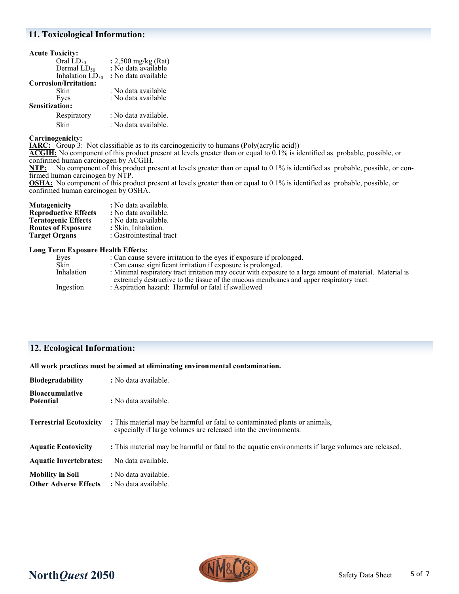#### **11. Toxicological Information:**

| <b>Acute Toxicity:</b> |                      |
|------------------------|----------------------|
| Oral $LD_{50}$         | : 2,500 mg/kg (Rat)  |
| Dermal $LD_{50}$       | : No data available  |
| Inhalation $LD_{50}$   | : No data available  |
| Corrosion/Irritation:  |                      |
| Skin                   | : No data available  |
| Eyes                   | : No data available  |
| <b>Sensitization:</b>  |                      |
| Respiratory            | : No data available. |
| Skin                   | : No data available. |

**Carcinogenicity:**

**IARC:** Group 3: Not classifiable as to its carcinogenicity to humans (Poly(acrylic acid))

**ACGIH:** No component of this product present at levels greater than or equal to 0.1% is identified as probable, possible, or confirmed human carcinogen by ACGIH.<br>NTP: No component of this product pro

No component of this product present at levels greater than or equal to 0.1% is identified as probable, possible, or confirmed human carcinogen by NTP.

**OSHA:** No component of this product present at levels greater than or equal to 0.1% is identified as probable, possible, or confirmed human carcinogen by OSHA.

| Mutagenicity                | : No data available.     |
|-----------------------------|--------------------------|
| <b>Reproductive Effects</b> | : No data available.     |
| <b>Teratogenic Effects</b>  | : No data available.     |
| Routes of Exposure          | : Skin, Inhalation.      |
| <b>Target Organs</b>        | : Gastrointestinal tract |

#### **Long Term Exposure Health Effects:**

| Eyes       | : Can cause severe irritation to the eyes if exposure if prolonged.                                       |
|------------|-----------------------------------------------------------------------------------------------------------|
| Skin       | : Can cause significant irritation if exposure is prolonged.                                              |
| Inhalation | : Minimal respiratory tract irritation may occur with exposure to a large amount of material. Material is |
|            | extremely destructive to the tissue of the mucous membranes and upper respiratory tract.                  |
| Ingestion  | : Aspiration hazard: Harmful or fatal if swallowed                                                        |
|            |                                                                                                           |

## **12. Ecological Information:**

**All work practices must be aimed at eliminating environmental contamination.** 

| <b>Biodegradability</b>                                 | : No data available.                                                                                                                          |
|---------------------------------------------------------|-----------------------------------------------------------------------------------------------------------------------------------------------|
| <b>Bioaccumulative</b><br><b>Potential</b>              | : No data available.                                                                                                                          |
| <b>Terrestrial Ecotoxicity</b>                          | : This material may be harmful or fatal to contaminated plants or animals,<br>especially if large volumes are released into the environments. |
| <b>Aquatic Ecotoxicity</b>                              | : This material may be harmful or fatal to the aquatic environments if large volumes are released.                                            |
| <b>Aquatic Invertebrates:</b>                           | No data available.                                                                                                                            |
| <b>Mobility in Soil</b><br><b>Other Adverse Effects</b> | : No data available.<br>: No data available.                                                                                                  |

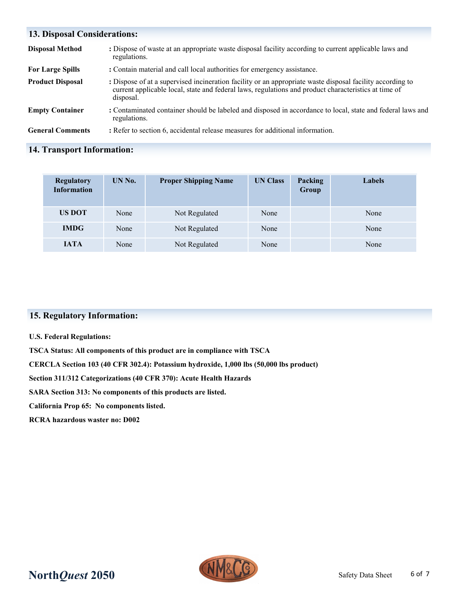| <b>13. Disposal Considerations:</b> |                                                                                                                                                                                                                                |  |  |
|-------------------------------------|--------------------------------------------------------------------------------------------------------------------------------------------------------------------------------------------------------------------------------|--|--|
| <b>Disposal Method</b>              | : Dispose of waste at an appropriate waste disposal facility according to current applicable laws and<br>regulations.                                                                                                          |  |  |
| <b>For Large Spills</b>             | : Contain material and call local authorities for emergency assistance.                                                                                                                                                        |  |  |
| <b>Product Disposal</b>             | : Dispose of at a supervised incineration facility or an appropriate waste disposal facility according to<br>current applicable local, state and federal laws, regulations and product characteristics at time of<br>disposal. |  |  |
| <b>Empty Container</b>              | : Contaminated container should be labeled and disposed in accordance to local, state and federal laws and<br>regulations.                                                                                                     |  |  |
| <b>General Comments</b>             | : Refer to section 6, accidental release measures for additional information.                                                                                                                                                  |  |  |

## **14. Transport Information:**

| <b>Regulatory</b><br><b>Information</b> | UN No. | <b>Proper Shipping Name</b> | <b>UN Class</b> | Packing<br>Group | <b>Labels</b> |
|-----------------------------------------|--------|-----------------------------|-----------------|------------------|---------------|
| US DOT                                  | None   | Not Regulated               | None            |                  | None          |
| <b>IMDG</b>                             | None   | Not Regulated               | None            |                  | None          |
| <b>IATA</b>                             | None   | Not Regulated               | None            |                  | None          |

## **15. Regulatory Information:**

#### **U.S. Federal Regulations:**

**TSCA Status: All components of this product are in compliance with TSCA**

**CERCLA Section 103 (40 CFR 302.4): Potassium hydroxide, 1,000 lbs (50,000 lbs product)**

**Section 311/312 Categorizations (40 CFR 370): Acute Health Hazards**

**SARA Section 313: No components of this products are listed.** 

**California Prop 65: No components listed.**

**RCRA hazardous waster no: D002**